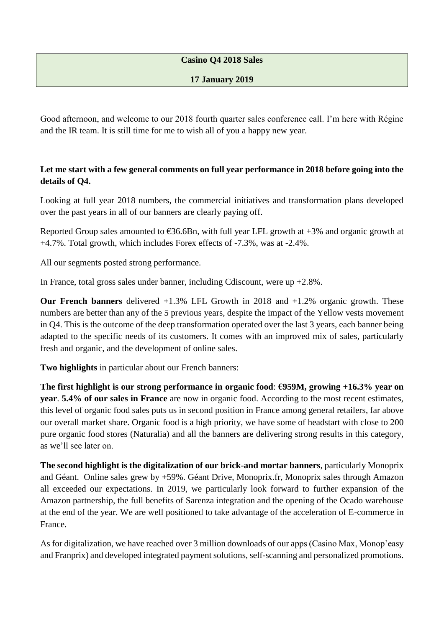## **Casino Q4 2018 Sales**

## **17 January 2019**

Good afternoon, and welcome to our 2018 fourth quarter sales conference call. I'm here with Régine and the IR team. It is still time for me to wish all of you a happy new year.

## **Let me start with a few general comments on full year performance in 2018 before going into the details of Q4.**

Looking at full year 2018 numbers, the commercial initiatives and transformation plans developed over the past years in all of our banners are clearly paying off.

Reported Group sales amounted to  $\epsilon$ 36.6Bn, with full year LFL growth at +3% and organic growth at +4.7%. Total growth, which includes Forex effects of -7.3%, was at -2.4%.

All our segments posted strong performance.

In France, total gross sales under banner, including Cdiscount, were up +2.8%.

**Our French banners** delivered +1.3% LFL Growth in 2018 and +1.2% organic growth. These numbers are better than any of the 5 previous years, despite the impact of the Yellow vests movement in Q4. This is the outcome of the deep transformation operated over the last 3 years, each banner being adapted to the specific needs of its customers. It comes with an improved mix of sales, particularly fresh and organic, and the development of online sales.

**Two highlights** in particular about our French banners:

**The first highlight is our strong performance in organic food**: **€959M, growing +16.3% year on year**. **5.4% of our sales in France** are now in organic food. According to the most recent estimates, this level of organic food sales puts us in second position in France among general retailers, far above our overall market share. Organic food is a high priority, we have some of headstart with close to 200 pure organic food stores (Naturalia) and all the banners are delivering strong results in this category, as we'll see later on.

**The second highlight is the digitalization of our brick-and mortar banners**, particularly Monoprix and Géant. Online sales grew by +59%. Géant Drive, Monoprix.fr, Monoprix sales through Amazon all exceeded our expectations. In 2019, we particularly look forward to further expansion of the Amazon partnership, the full benefits of Sarenza integration and the opening of the Ocado warehouse at the end of the year. We are well positioned to take advantage of the acceleration of E-commerce in France.

As for digitalization, we have reached over 3 million downloads of our apps (Casino Max, Monop'easy and Franprix) and developed integrated payment solutions, self-scanning and personalized promotions.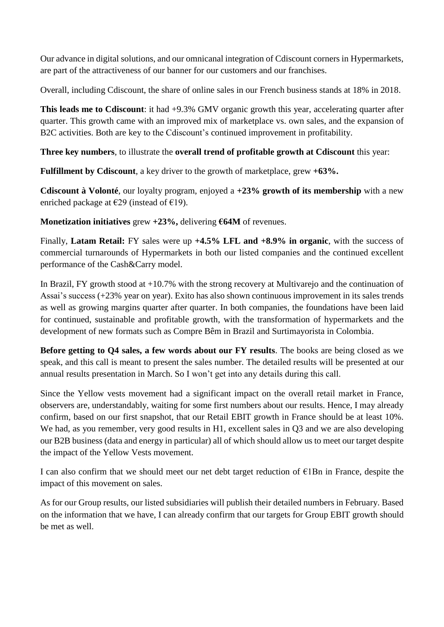Our advance in digital solutions, and our omnicanal integration of Cdiscount corners in Hypermarkets, are part of the attractiveness of our banner for our customers and our franchises.

Overall, including Cdiscount, the share of online sales in our French business stands at 18% in 2018.

**This leads me to Cdiscount:** it had  $+9.3\%$  GMV organic growth this year, accelerating quarter after quarter. This growth came with an improved mix of marketplace vs. own sales, and the expansion of B2C activities. Both are key to the Cdiscount's continued improvement in profitability.

**Three key numbers**, to illustrate the **overall trend of profitable growth at Cdiscount** this year:

**Fulfillment by Cdiscount**, a key driver to the growth of marketplace, grew **+63%.**

**Cdiscount à Volonté**, our loyalty program, enjoyed a **+23% growth of its membership** with a new enriched package at  $\epsilon$ 29 (instead of  $\epsilon$ 19).

**Monetization initiatives** grew **+23%,** delivering **€64M** of revenues.

Finally, **Latam Retail:** FY sales were up **+4.5% LFL and +8.9% in organic**, with the success of commercial turnarounds of Hypermarkets in both our listed companies and the continued excellent performance of the Cash&Carry model.

In Brazil, FY growth stood at +10.7% with the strong recovery at Multivarejo and the continuation of Assai's success (+23% year on year). Exito has also shown continuous improvement in its sales trends as well as growing margins quarter after quarter. In both companies, the foundations have been laid for continued, sustainable and profitable growth, with the transformation of hypermarkets and the development of new formats such as Compre Bêm in Brazil and Surtimayorista in Colombia.

**Before getting to Q4 sales, a few words about our FY results**. The books are being closed as we speak, and this call is meant to present the sales number. The detailed results will be presented at our annual results presentation in March. So I won't get into any details during this call.

Since the Yellow vests movement had a significant impact on the overall retail market in France, observers are, understandably, waiting for some first numbers about our results. Hence, I may already confirm, based on our first snapshot, that our Retail EBIT growth in France should be at least 10%. We had, as you remember, very good results in H1, excellent sales in Q3 and we are also developing our B2B business (data and energy in particular) all of which should allow us to meet our target despite the impact of the Yellow Vests movement.

I can also confirm that we should meet our net debt target reduction of €1Bn in France, despite the impact of this movement on sales.

As for our Group results, our listed subsidiaries will publish their detailed numbers in February. Based on the information that we have, I can already confirm that our targets for Group EBIT growth should be met as well.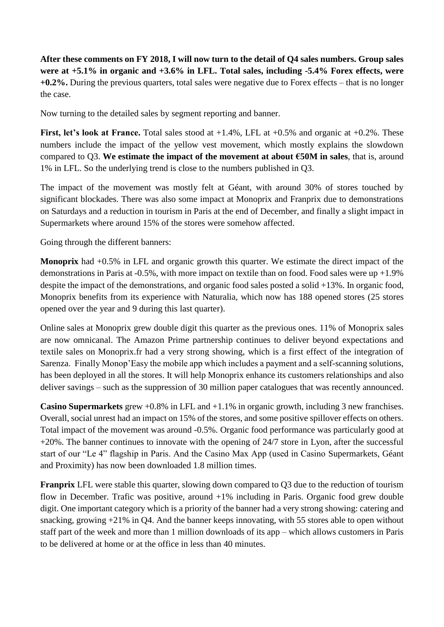**After these comments on FY 2018, I will now turn to the detail of Q4 sales numbers. Group sales were at +5.1% in organic and +3.6% in LFL. Total sales, including -5.4% Forex effects, were +0.2%.** During the previous quarters, total sales were negative due to Forex effects – that is no longer the case.

Now turning to the detailed sales by segment reporting and banner.

**First, let's look at France.** Total sales stood at +1.4%, LFL at +0.5% and organic at +0.2%. These numbers include the impact of the yellow vest movement, which mostly explains the slowdown compared to Q3. **We estimate the impact of the movement at about €50M in sales**, that is, around 1% in LFL. So the underlying trend is close to the numbers published in Q3.

The impact of the movement was mostly felt at Géant, with around 30% of stores touched by significant blockades. There was also some impact at Monoprix and Franprix due to demonstrations on Saturdays and a reduction in tourism in Paris at the end of December, and finally a slight impact in Supermarkets where around 15% of the stores were somehow affected.

Going through the different banners:

**Monoprix** had +0.5% in LFL and organic growth this quarter. We estimate the direct impact of the demonstrations in Paris at -0.5%, with more impact on textile than on food. Food sales were up +1.9% despite the impact of the demonstrations, and organic food sales posted a solid +13%. In organic food, Monoprix benefits from its experience with Naturalia, which now has 188 opened stores (25 stores opened over the year and 9 during this last quarter).

Online sales at Monoprix grew double digit this quarter as the previous ones. 11% of Monoprix sales are now omnicanal. The Amazon Prime partnership continues to deliver beyond expectations and textile sales on Monoprix.fr had a very strong showing, which is a first effect of the integration of Sarenza. Finally Monop'Easy the mobile app which includes a payment and a self-scanning solutions, has been deployed in all the stores. It will help Monoprix enhance its customers relationships and also deliver savings – such as the suppression of 30 million paper catalogues that was recently announced.

**Casino Supermarkets** grew +0.8% in LFL and +1.1% in organic growth, including 3 new franchises. Overall, social unrest had an impact on 15% of the stores, and some positive spillover effects on others. Total impact of the movement was around -0.5%. Organic food performance was particularly good at +20%. The banner continues to innovate with the opening of 24/7 store in Lyon, after the successful start of our "Le 4" flagship in Paris. And the Casino Max App (used in Casino Supermarkets, Géant and Proximity) has now been downloaded 1.8 million times.

**Franprix** LFL were stable this quarter, slowing down compared to Q3 due to the reduction of tourism flow in December. Trafic was positive, around +1% including in Paris. Organic food grew double digit. One important category which is a priority of the banner had a very strong showing: catering and snacking, growing  $+21\%$  in O4. And the banner keeps innovating, with 55 stores able to open without staff part of the week and more than 1 million downloads of its app – which allows customers in Paris to be delivered at home or at the office in less than 40 minutes.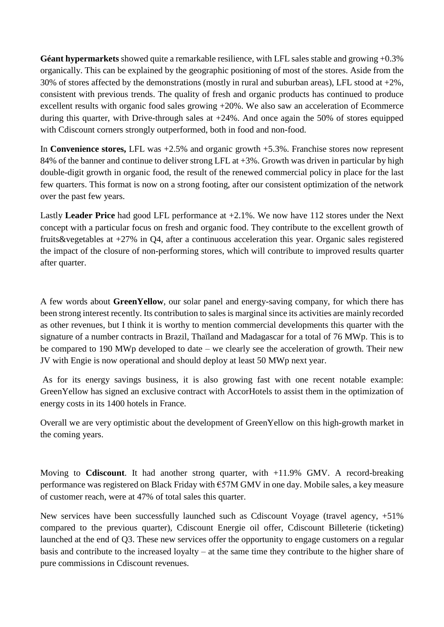**Géant hypermarkets** showed quite a remarkable resilience, with LFL sales stable and growing +0.3% organically. This can be explained by the geographic positioning of most of the stores. Aside from the 30% of stores affected by the demonstrations (mostly in rural and suburban areas), LFL stood at +2%, consistent with previous trends. The quality of fresh and organic products has continued to produce excellent results with organic food sales growing +20%. We also saw an acceleration of Ecommerce during this quarter, with Drive-through sales at  $+24\%$ . And once again the 50% of stores equipped with Cdiscount corners strongly outperformed, both in food and non-food.

In **Convenience stores,** LFL was +2.5% and organic growth +5.3%. Franchise stores now represent 84% of the banner and continue to deliver strong LFL at +3%. Growth was driven in particular by high double-digit growth in organic food, the result of the renewed commercial policy in place for the last few quarters. This format is now on a strong footing, after our consistent optimization of the network over the past few years.

Lastly **Leader Price** had good LFL performance at +2.1%. We now have 112 stores under the Next concept with a particular focus on fresh and organic food. They contribute to the excellent growth of fruits&vegetables at +27% in Q4, after a continuous acceleration this year. Organic sales registered the impact of the closure of non-performing stores, which will contribute to improved results quarter after quarter.

A few words about **GreenYellow**, our solar panel and energy-saving company, for which there has been strong interest recently. Its contribution to sales is marginal since its activities are mainly recorded as other revenues, but I think it is worthy to mention commercial developments this quarter with the signature of a number contracts in Brazil, Thaïland and Madagascar for a total of 76 MWp. This is to be compared to 190 MWp developed to date – we clearly see the acceleration of growth. Their new JV with Engie is now operational and should deploy at least 50 MWp next year.

As for its energy savings business, it is also growing fast with one recent notable example: GreenYellow has signed an exclusive contract with AccorHotels to assist them in the optimization of energy costs in its 1400 hotels in France.

Overall we are very optimistic about the development of GreenYellow on this high-growth market in the coming years.

Moving to **Cdiscount**. It had another strong quarter, with +11.9% GMV. A record-breaking performance was registered on Black Friday with €57M GMV in one day. Mobile sales, a key measure of customer reach, were at 47% of total sales this quarter.

New services have been successfully launched such as Cdiscount Voyage (travel agency, +51% compared to the previous quarter), Cdiscount Energie oil offer, Cdiscount Billeterie (ticketing) launched at the end of Q3. These new services offer the opportunity to engage customers on a regular basis and contribute to the increased loyalty – at the same time they contribute to the higher share of pure commissions in Cdiscount revenues.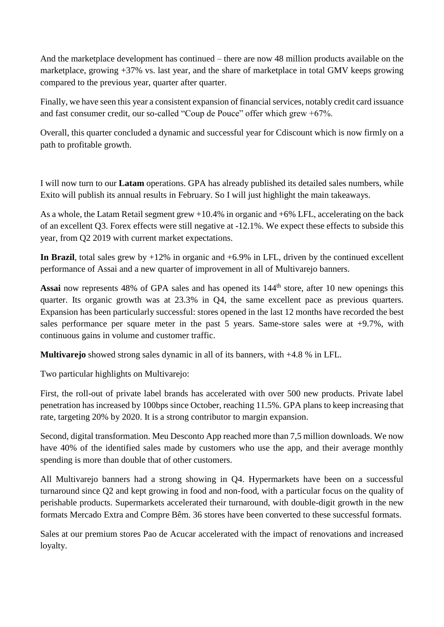And the marketplace development has continued – there are now 48 million products available on the marketplace, growing +37% vs. last year, and the share of marketplace in total GMV keeps growing compared to the previous year, quarter after quarter.

Finally, we have seen this year a consistent expansion of financial services, notably credit card issuance and fast consumer credit, our so-called "Coup de Pouce" offer which grew +67%.

Overall, this quarter concluded a dynamic and successful year for Cdiscount which is now firmly on a path to profitable growth.

I will now turn to our **Latam** operations. GPA has already published its detailed sales numbers, while Exito will publish its annual results in February. So I will just highlight the main takeaways.

As a whole, the Latam Retail segment grew +10.4% in organic and +6% LFL, accelerating on the back of an excellent Q3. Forex effects were still negative at -12.1%. We expect these effects to subside this year, from Q2 2019 with current market expectations.

**In Brazil**, total sales grew by  $+12\%$  in organic and  $+6.9\%$  in LFL, driven by the continued excellent performance of Assai and a new quarter of improvement in all of Multivarejo banners.

Assai now represents 48% of GPA sales and has opened its  $144<sup>th</sup>$  store, after 10 new openings this quarter. Its organic growth was at 23.3% in Q4, the same excellent pace as previous quarters. Expansion has been particularly successful: stores opened in the last 12 months have recorded the best sales performance per square meter in the past 5 years. Same-store sales were at +9.7%, with continuous gains in volume and customer traffic.

**Multivarejo** showed strong sales dynamic in all of its banners, with +4.8 % in LFL.

Two particular highlights on Multivarejo:

First, the roll-out of private label brands has accelerated with over 500 new products. Private label penetration has increased by 100bps since October, reaching 11.5%. GPA plans to keep increasing that rate, targeting 20% by 2020. It is a strong contributor to margin expansion.

Second, digital transformation. Meu Desconto App reached more than 7,5 million downloads. We now have 40% of the identified sales made by customers who use the app, and their average monthly spending is more than double that of other customers.

All Multivarejo banners had a strong showing in Q4. Hypermarkets have been on a successful turnaround since Q2 and kept growing in food and non-food, with a particular focus on the quality of perishable products. Supermarkets accelerated their turnaround, with double-digit growth in the new formats Mercado Extra and Compre Bêm. 36 stores have been converted to these successful formats.

Sales at our premium stores Pao de Acucar accelerated with the impact of renovations and increased loyalty.